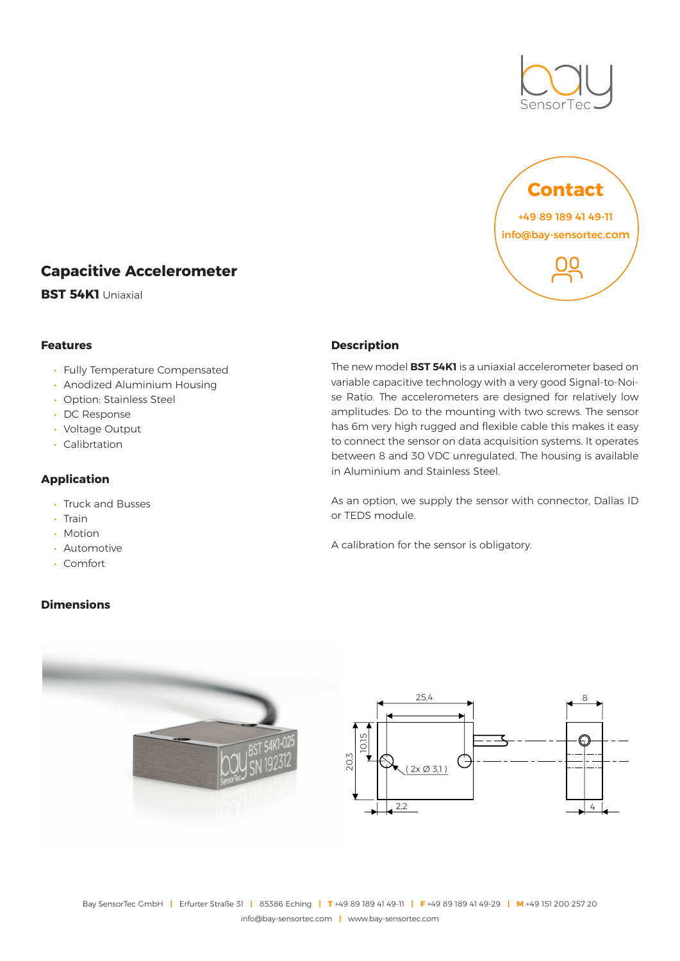



# **Capacitive Accelerometer**

**BST 54K1** Uniaxial

#### **Features**

- Fully Temperature Compensated
- Anodized Aluminium Housing
- Option: Stainless Steel
- DC Response
- Voltage Output
- Calibrtation

#### **Application**

- Truck and Busses
- Train
- Motion
- Automotive
- Comfort

#### **Dimensions**

### **Description**

The new model **BST 54K1** is a uniaxial accelerometer based on variable capacitive technology with a very good Signal-to-Noise Ratio. The accelerometers are designed for relatively low amplitudes. Do to the mounting with two screws. The sensor has 6m very high rugged and flexible cable this makes it easy to connect the sensor on data acquisition systems. It operates between 8 and 30 VDC unregulated. The housing is available in Aluminium and Stainless Steel.

As an option, we supply the sensor with connector, Dallas ID or TEDS module.

A calibration for the sensor is obligatory.